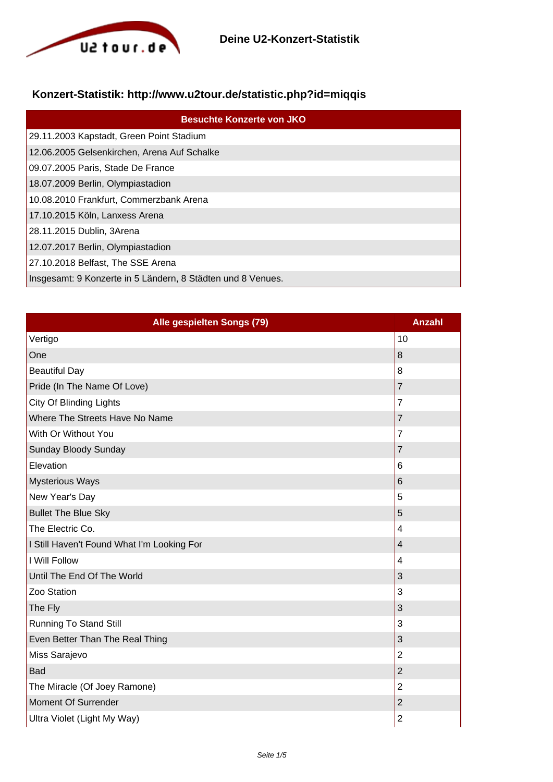

## **Konzert-Statistik: http://www.u2tour.de/statistic.php?id=miqqis**

| <b>Besuchte Konzerte von JKO</b>                            |
|-------------------------------------------------------------|
| 29.11.2003 Kapstadt, Green Point Stadium                    |
| 12.06.2005 Gelsenkirchen, Arena Auf Schalke                 |
| 09.07.2005 Paris, Stade De France                           |
| 18.07.2009 Berlin, Olympiastadion                           |
| 10.08.2010 Frankfurt, Commerzbank Arena                     |
| 17.10.2015 Köln, Lanxess Arena                              |
| 28.11.2015 Dublin, 3Arena                                   |
| 12.07.2017 Berlin, Olympiastadion                           |
| 27.10.2018 Belfast, The SSE Arena                           |
| Insgesamt: 9 Konzerte in 5 Ländern, 8 Städten und 8 Venues. |

| Alle gespielten Songs (79)                 | <b>Anzahl</b>           |
|--------------------------------------------|-------------------------|
| Vertigo                                    | 10                      |
| One                                        | 8                       |
| <b>Beautiful Day</b>                       | 8                       |
| Pride (In The Name Of Love)                | $\overline{7}$          |
| City Of Blinding Lights                    | $\overline{7}$          |
| Where The Streets Have No Name             | $\overline{7}$          |
| With Or Without You                        | $\overline{7}$          |
| Sunday Bloody Sunday                       | $\overline{7}$          |
| Elevation                                  | 6                       |
| <b>Mysterious Ways</b>                     | 6                       |
| New Year's Day                             | 5                       |
| <b>Bullet The Blue Sky</b>                 | 5                       |
| The Electric Co.                           | 4                       |
| I Still Haven't Found What I'm Looking For | $\overline{\mathbf{4}}$ |
| I Will Follow                              | 4                       |
| Until The End Of The World                 | 3                       |
| Zoo Station                                | 3                       |
| The Fly                                    | 3                       |
| <b>Running To Stand Still</b>              | 3                       |
| Even Better Than The Real Thing            | 3                       |
| Miss Sarajevo                              | $\overline{2}$          |
| Bad                                        | $\overline{c}$          |
| The Miracle (Of Joey Ramone)               | $\overline{2}$          |
| Moment Of Surrender                        | $\overline{2}$          |
| Ultra Violet (Light My Way)                | $\overline{2}$          |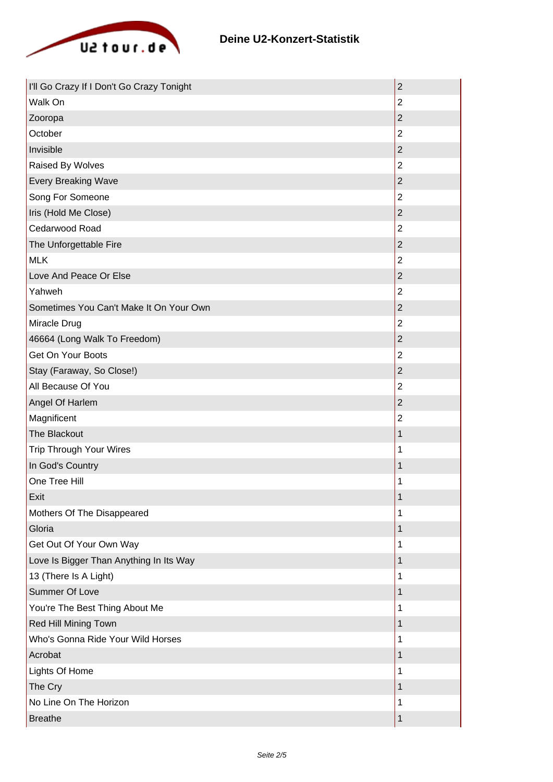

| I'll Go Crazy If I Don't Go Crazy Tonight | $\overline{2}$   |
|-------------------------------------------|------------------|
| Walk On                                   | $\overline{2}$   |
| Zooropa                                   | $\mathbf 2$      |
| October                                   | $\overline{2}$   |
| Invisible                                 | $\overline{2}$   |
| Raised By Wolves                          | $\overline{2}$   |
| <b>Every Breaking Wave</b>                | $\overline{2}$   |
| Song For Someone                          | $\overline{2}$   |
| Iris (Hold Me Close)                      | $\mathbf 2$      |
| Cedarwood Road                            | $\overline{2}$   |
| The Unforgettable Fire                    | $\overline{2}$   |
| <b>MLK</b>                                | $\overline{2}$   |
| Love And Peace Or Else                    | $\overline{2}$   |
| Yahweh                                    | $\overline{2}$   |
| Sometimes You Can't Make It On Your Own   | $\overline{2}$   |
| Miracle Drug                              | $\overline{2}$   |
| 46664 (Long Walk To Freedom)              | $\overline{c}$   |
| Get On Your Boots                         | $\overline{2}$   |
| Stay (Faraway, So Close!)                 | $\overline{2}$   |
| All Because Of You                        | $\overline{2}$   |
| Angel Of Harlem                           | $\boldsymbol{2}$ |
| Magnificent                               | $\overline{2}$   |
| The Blackout                              | 1                |
| <b>Trip Through Your Wires</b>            | 1                |
| In God's Country                          | 1                |
| One Tree Hill                             | 1                |
| Exit                                      | 1                |
| Mothers Of The Disappeared                | 1                |
| Gloria                                    | 1                |
| Get Out Of Your Own Way                   | 1                |
| Love Is Bigger Than Anything In Its Way   | 1                |
| 13 (There Is A Light)                     | 1                |
| <b>Summer Of Love</b>                     | 1                |
| You're The Best Thing About Me            | 1                |
| Red Hill Mining Town                      | 1                |
| Who's Gonna Ride Your Wild Horses         | 1                |
| Acrobat                                   | 1                |
| Lights Of Home                            | 1                |
| The Cry                                   | 1                |
| No Line On The Horizon                    | 1                |
| <b>Breathe</b>                            | 1                |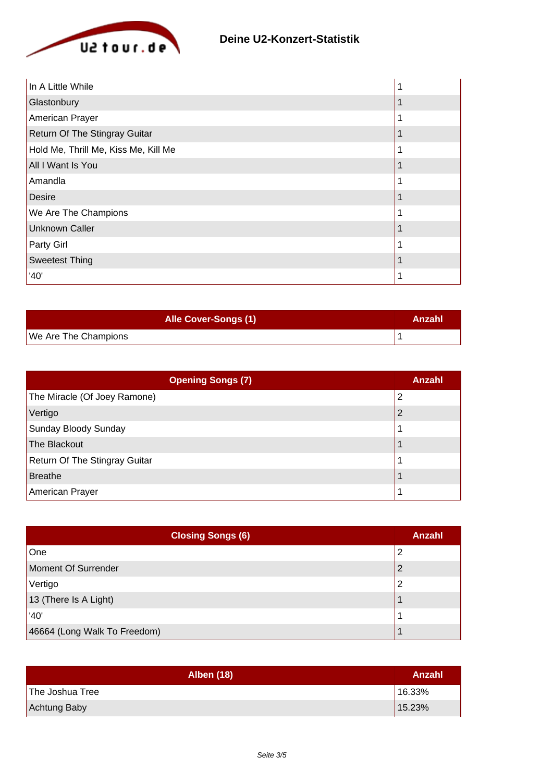

| In A Little While                    |  |
|--------------------------------------|--|
| Glastonbury                          |  |
| American Prayer                      |  |
| Return Of The Stingray Guitar        |  |
| Hold Me, Thrill Me, Kiss Me, Kill Me |  |
| All I Want Is You                    |  |
| Amandla                              |  |
| <b>Desire</b>                        |  |
| We Are The Champions                 |  |
| <b>Unknown Caller</b>                |  |
| Party Girl                           |  |
| <b>Sweetest Thing</b>                |  |
| '40'                                 |  |

| <b>Alle Cover-Songs (1)</b> | Anzahl |
|-----------------------------|--------|
| We Are The Champions        |        |

| <b>Opening Songs (7)</b>      | Anzahl |
|-------------------------------|--------|
| The Miracle (Of Joey Ramone)  | 2      |
| Vertigo                       | 2      |
| Sunday Bloody Sunday          |        |
| The Blackout                  |        |
| Return Of The Stingray Guitar |        |
| Breathe                       |        |
| American Prayer               |        |

| <b>Closing Songs (6)</b>     | Anzahl |
|------------------------------|--------|
| One                          | າ      |
| Moment Of Surrender          |        |
| Vertigo                      |        |
| 13 (There Is A Light)        |        |
| '40'                         |        |
| 46664 (Long Walk To Freedom) |        |

| <b>Alben (18)</b> | Anzahl |
|-------------------|--------|
| The Joshua Tree   | 16.33% |
| Achtung Baby      | 15.23% |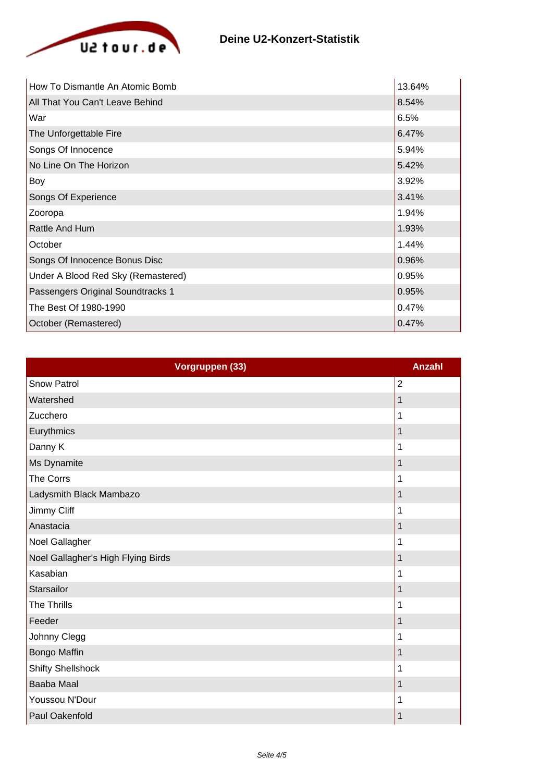

| How To Dismantle An Atomic Bomb    | 13.64% |
|------------------------------------|--------|
| All That You Can't Leave Behind    | 8.54%  |
| War                                | 6.5%   |
| The Unforgettable Fire             | 6.47%  |
| Songs Of Innocence                 | 5.94%  |
| No Line On The Horizon             | 5.42%  |
| Boy                                | 3.92%  |
| Songs Of Experience                | 3.41%  |
| Zooropa                            | 1.94%  |
| Rattle And Hum                     | 1.93%  |
| October                            | 1.44%  |
| Songs Of Innocence Bonus Disc      | 0.96%  |
| Under A Blood Red Sky (Remastered) | 0.95%  |
| Passengers Original Soundtracks 1  | 0.95%  |
| The Best Of 1980-1990              | 0.47%  |
| October (Remastered)               | 0.47%  |

| Vorgruppen (33)                    | <b>Anzahl</b>  |
|------------------------------------|----------------|
| Snow Patrol                        | $\overline{2}$ |
| Watershed                          | 1              |
| Zucchero                           | 1              |
| Eurythmics                         | 1              |
| Danny K                            | 1              |
| Ms Dynamite                        | 1              |
| The Corrs                          | 1              |
| Ladysmith Black Mambazo            | 1              |
| Jimmy Cliff                        | 1              |
| Anastacia                          | 1              |
| Noel Gallagher                     | 1              |
| Noel Gallagher's High Flying Birds | 1              |
| Kasabian                           | 1              |
| Starsailor                         | 1              |
| The Thrills                        | 1              |
| Feeder                             | 1              |
| Johnny Clegg                       | 1              |
| Bongo Maffin                       | 1              |
| <b>Shifty Shellshock</b>           | 1              |
| Baaba Maal                         | 1              |
| Youssou N'Dour                     | 1              |
| Paul Oakenfold                     | 1              |